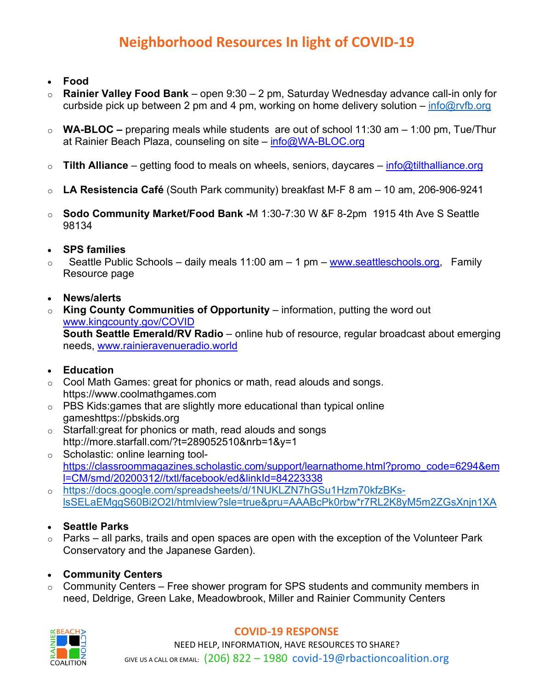# **Neighborhood Resources In light of COVID-19**

- **Food**
- o **Rainier Valley Food Bank** open 9:30 2 pm, Saturday Wednesday advance call-in only for curbside pick up between 2 pm and 4 pm, working on home delivery solution – info@rvfb.org
- o **WA-BLOC –** preparing meals while students are out of school 11:30 am 1:00 pm, Tue/Thur at Rainier Beach Plaza, counseling on site – info@WA-BLOC.org
- o **Tilth Alliance**  getting food to meals on wheels, seniors, daycares info@tilthalliance.org
- o **LA Resistencia Café** (South Park community) breakfast M-F 8 am 10 am, 206-906-9241
- o **Sodo Community Market/Food Bank -**M 1:30-7:30 W &F 8-2pm 1915 4th Ave S Seattle 98134

### • **SPS families**

- $\circ$  Seattle Public Schools daily meals 11:00 am 1 pm www.seattleschools.org, Family Resource page
- **News/alerts**
- o **King County Communities of Opportunity** information, putting the word out www.kingcounty.gov/COVID **South Seattle Emerald/RV Radio** – online hub of resource, regular broadcast about emerging

needs, www.rainieravenueradio.world

## • **Education**

- $\circ$  Cool Math Games: great for phonics or math, read alouds and songs. https://www.coolmathgames.com
- $\circ$  PBS Kids:games that are slightly more educational than typical online gameshttps://pbskids.org
- $\circ$  Starfall: great for phonics or math, read alouds and songs http://more.starfall.com/?t=289052510&nrb=1&y=1
- o Scholastic: online learning toolhttps://classroommagazines.scholastic.com/support/learnathome.html?promo\_code=6294&em l=CM/smd/20200312//txtl/facebook/ed&linkId=84223338
- o https://docs.google.com/spreadsheets/d/1NUKLZN7hGSu1Hzm70kfzBKslsSELaEMggS60Bi2O2I/htmlview?sle=true&pru=AAABcPk0rbw\*r7RL2K8yM5m2ZGsXnjn1XA

## • **Seattle Parks**

 $\circ$  Parks – all parks, trails and open spaces are open with the exception of the Volunteer Park Conservatory and the Japanese Garden).

#### • **Community Centers**

 $\circ$  Community Centers – Free shower program for SPS students and community members in need, Deldrige, Green Lake, Meadowbrook, Miller and Rainier Community Centers



#### **COVID-19 RESPONSE**

NEED HELP, INFORMATION, HAVE RESOURCES TO SHARE? GIVE US A CALL OR EMAIL: (206) 822 – 1980 covid-19@rbactioncoalition.org